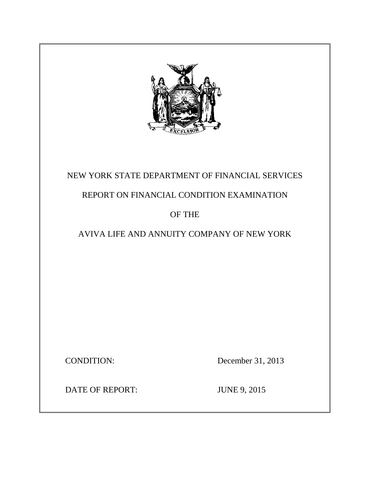

# NEW YORK STATE DEPARTMENT OF FINANCIAL SERVICES

# REPORT ON FINANCIAL CONDITION EXAMINATION

# OF THE

# AVIVA LIFE AND ANNUITY COMPANY OF NEW YORK

**CONDITION:** 

December 31, 2013

DATE OF REPORT: JUNE 9, 2015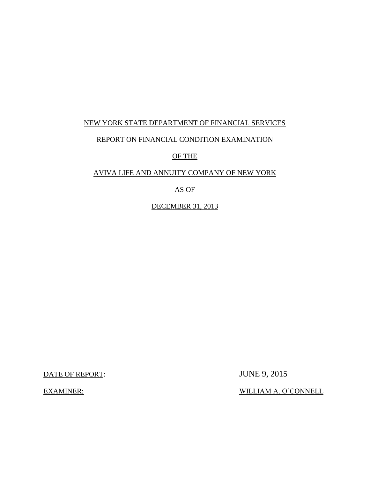## NEW YORK STATE DEPARTMENT OF FINANCIAL SERVICES

## REPORT ON FINANCIAL CONDITION EXAMINATION

## OF THE

## AVIVA LIFE AND ANNUITY COMPANY OF NEW YORK

# AS OF

DECEMBER 31, 2013

DATE OF REPORT: JUNE 9, 2015

EXAMINER: WILLIAM A. O'CONNELL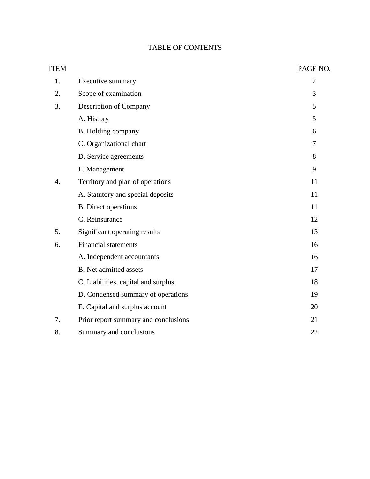# TABLE OF CONTENTS

| <b>ITEM</b> |                                      | PAGE NO.       |
|-------------|--------------------------------------|----------------|
| 1.          | Executive summary                    | $\overline{2}$ |
| 2.          | Scope of examination                 | 3              |
| 3.          | Description of Company               | 5              |
|             | A. History                           | 5              |
|             | B. Holding company                   | 6              |
|             | C. Organizational chart              | 7              |
|             | D. Service agreements                | 8              |
|             | E. Management                        | 9              |
| 4.          | Territory and plan of operations     | 11             |
|             | A. Statutory and special deposits    | 11             |
|             | <b>B.</b> Direct operations          | 11             |
|             | C. Reinsurance                       | 12             |
| 5.          | Significant operating results        | 13             |
| 6.          | <b>Financial statements</b>          | 16             |
|             | A. Independent accountants           | 16             |
|             | <b>B.</b> Net admitted assets        | 17             |
|             | C. Liabilities, capital and surplus  | 18             |
|             | D. Condensed summary of operations   | 19             |
|             | E. Capital and surplus account       | 20             |
| 7.          | Prior report summary and conclusions | 21             |
| 8.          | Summary and conclusions              | 22             |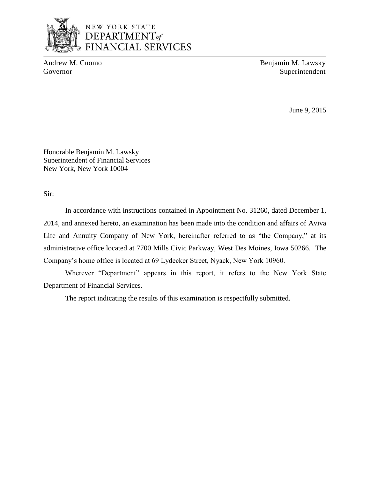

# NEW YORK STATE DEPARTMENT<sub>of</sub> **FINANCIAL SERVICES**

Andrew M. Cuomo Benjamin M. Lawsky Governor Superintendent

June 9, 2015

Honorable Benjamin M. Lawsky Superintendent of Financial Services New York, New York 10004

Sir:

 In accordance with instructions contained in Appointment No. 31260, dated December 1, 2014, and annexed hereto, an examination has been made into the condition and affairs of Aviva Life and Annuity Company of New York, hereinafter referred to as "the Company," at its administrative office located at 7700 Mills Civic Parkway, West Des Moines, Iowa 50266. The Company's home office is located at 69 Lydecker Street, Nyack, New York 10960.

Wherever "Department" appears in this report, it refers to the New York State Department of Financial Services.

The report indicating the results of this examination is respectfully submitted.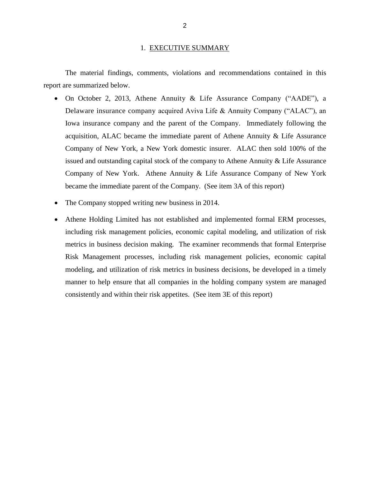### 1. EXECUTIVE SUMMARY

<span id="page-4-0"></span> report are summarized below. The material findings, comments, violations and recommendations contained in this

- On October 2, 2013, Athene Annuity & Life Assurance Company ("AADE"), a Delaware insurance company acquired Aviva Life & Annuity Company ("ALAC"), an Iowa insurance company and the parent of the Company. Immediately following the acquisition, ALAC became the immediate parent of Athene Annuity & Life Assurance Company of New York, a New York domestic insurer. ALAC then sold 100% of the issued and outstanding capital stock of the company to Athene Annuity & Life Assurance Company of New York. Athene Annuity & Life Assurance Company of New York became the immediate parent of the Company. (See item 3A of this report)
- The Company stopped writing new business in 2014.
- Athene Holding Limited has not established and implemented formal ERM processes, including risk management policies, economic capital modeling, and utilization of risk metrics in business decision making. The examiner recommends that formal Enterprise Risk Management processes, including risk management policies, economic capital modeling, and utilization of risk metrics in business decisions, be developed in a timely manner to help ensure that all companies in the holding company system are managed consistently and within their risk appetites. (See item 3E of this report)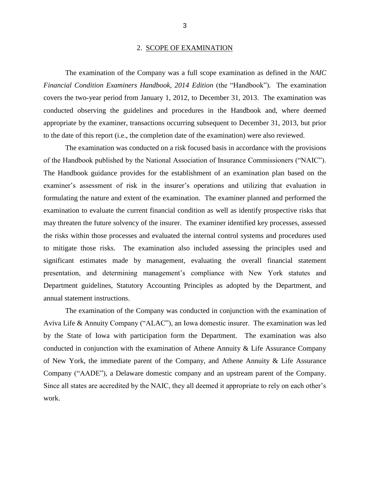#### 2. SCOPE OF EXAMINATION

<span id="page-5-0"></span>*Financial Condition Examiners Handbook, 2014 Edition* (the "Handbook"). The examination covers the two-year period from January 1, 2012, to December 31, 2013. The examination was conducted observing the guidelines and procedures in the Handbook and, where deemed appropriate by the examiner, transactions occurring subsequent to December 31, 2013, but prior The examination of the Company was a full scope examination as defined in the *NAIC*  to the date of this report (i.e., the completion date of the examination) were also reviewed.

 of the Handbook published by the National Association of Insurance Commissioners ("NAIC"). examiner's assessment of risk in the insurer's operations and utilizing that evaluation in formulating the nature and extent of the examination. The examiner planned and performed the examination to evaluate the current financial condition as well as identify prospective risks that may threaten the future solvency of the insurer. The examiner identified key processes, assessed to mitigate those risks. The examination also included assessing the principles used and significant estimates made by management, evaluating the overall financial statement presentation, and determining management's compliance with New York statutes and Department guidelines, Statutory Accounting Principles as adopted by the Department, and The examination was conducted on a risk focused basis in accordance with the provisions The Handbook guidance provides for the establishment of an examination plan based on the the risks within those processes and evaluated the internal control systems and procedures used annual statement instructions.

 Aviva Life & Annuity Company ("ALAC"), an Iowa domestic insurer. The examination was led by the State of Iowa with participation form the Department. The examination was also conducted in conjunction with the examination of Athene Annuity & Life Assurance Company of New York, the immediate parent of the Company, and Athene Annuity & Life Assurance Company ("AADE"), a Delaware domestic company and an upstream parent of the Company. Since all states are accredited by the NAIC, they all deemed it appropriate to rely on each other's The examination of the Company was conducted in conjunction with the examination of work.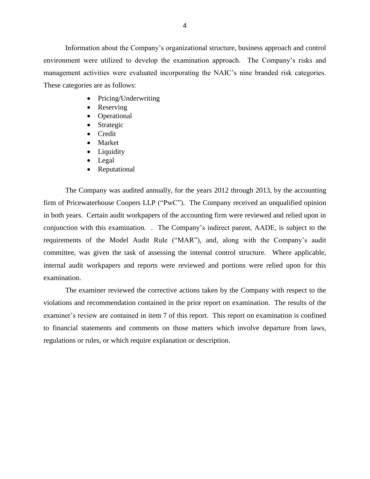environment were utilized to develop the examination approach. The Company's risks and management activities were evaluated incorporating the NAIC's nine branded risk categories. These categories are as follows: Information about the Company's organizational structure, business approach and control

- Pricing/Underwriting
- Reserving
- Operational
- Strategic
- Credit
- Market
- Liquidity
- Legal
- Reputational

 firm of Pricewaterhouse Coopers LLP ("PwC"). The Company received an unqualified opinion in both years. Certain audit workpapers of the accounting firm were reviewed and relied upon in conjunction with this examination. . The Company's indirect parent, AADE, is subject to the committee, was given the task of assessing the internal control structure. Where applicable, internal audit workpapers and reports were reviewed and portions were relied upon for this The Company was audited annually, for the years 2012 through 2013, by the accounting requirements of the Model Audit Rule ("MAR"), and, along with the Company's audit examination.

 violations and recommendation contained in the prior report on examination. The results of the examiner's review are contained in item 7 of this report. This report on examination is confined to financial statements and comments on those matters which involve departure from laws, The examiner reviewed the corrective actions taken by the Company with respect to the regulations or rules, or which require explanation or description.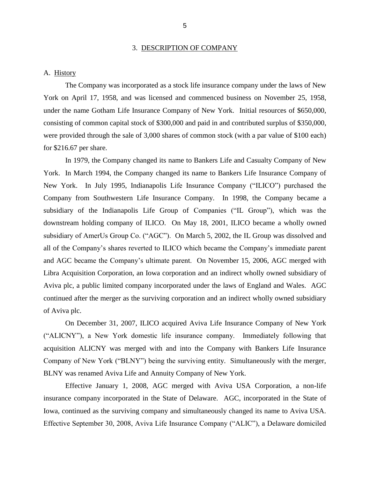### 3. DESCRIPTION OF COMPANY

#### <span id="page-7-0"></span>A. History

 The Company was incorporated as a stock life insurance company under the laws of New York on April 17, 1958, and was licensed and commenced business on November 25, 1958, under the name Gotham Life Insurance Company of New York. Initial resources of \$650,000, consisting of common capital stock of \$300,000 and paid in and contributed surplus of \$350,000, were provided through the sale of 3,000 shares of common stock (with a par value of \$100 each) for \$216.67 per share.

 In 1979, the Company changed its name to Bankers Life and Casualty Company of New York. In March 1994, the Company changed its name to Bankers Life Insurance Company of New York. In July 1995, Indianapolis Life Insurance Company ("ILICO") purchased the Company from Southwestern Life Insurance Company. In 1998, the Company became a subsidiary of the Indianapolis Life Group of Companies ("IL Group"), which was the downstream holding company of ILICO. On May 18, 2001, ILICO became a wholly owned subsidiary of AmerUs Group Co. ("AGC"). On March 5, 2002, the IL Group was dissolved and all of the Company's shares reverted to ILICO which became the Company's immediate parent Aviva plc, a public limited company incorporated under the laws of England and Wales. AGC and AGC became the Company's ultimate parent. On November 15, 2006, AGC merged with Libra Acquisition Corporation, an Iowa corporation and an indirect wholly owned subsidiary of continued after the merger as the surviving corporation and an indirect wholly owned subsidiary of Aviva plc.

 On December 31, 2007, ILICO acquired Aviva Life Insurance Company of New York ("ALICNY"), a New York domestic life insurance company. Immediately following that acquisition ALICNY was merged with and into the Company with Bankers Life Insurance Company of New York ("BLNY") being the surviving entity. Simultaneously with the merger, BLNY was renamed Aviva Life and Annuity Company of New York.

 Effective January 1, 2008, AGC merged with Aviva USA Corporation, a non-life insurance company incorporated in the State of Delaware. AGC, incorporated in the State of Iowa, continued as the surviving company and simultaneously changed its name to Aviva USA. Effective September 30, 2008, Aviva Life Insurance Company ("ALIC"), a Delaware domiciled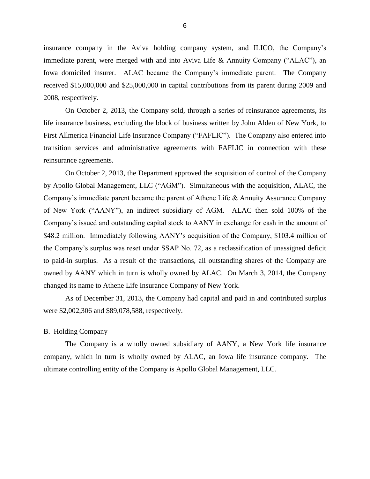<span id="page-8-0"></span> insurance company in the Aviva holding company system, and ILICO, the Company's immediate parent, were merged with and into Aviva Life & Annuity Company ("ALAC"), an Iowa domiciled insurer. ALAC became the Company's immediate parent. The Company received \$15,000,000 and \$25,000,000 in capital contributions from its parent during 2009 and 2008, respectively.

 On October 2, 2013, the Company sold, through a series of reinsurance agreements, its life insurance business, excluding the block of business written by John Alden of New York, to First Allmerica Financial Life Insurance Company ("FAFLIC"). The Company also entered into transition services and administrative agreements with FAFLIC in connection with these reinsurance agreements.

 On October 2, 2013, the Department approved the acquisition of control of the Company Company's immediate parent became the parent of Athene Life & Annuity Assurance Company of New York ("AANY"), an indirect subsidiary of AGM. ALAC then sold 100% of the Company's issued and outstanding capital stock to AANY in exchange for cash in the amount of \$48.2 million. Immediately following AANY's acquisition of the Company, \$103.4 million of the Company's surplus was reset under SSAP No. 72, as a reclassification of unassigned deficit to paid-in surplus. As a result of the transactions, all outstanding shares of the Company are owned by AANY which in turn is wholly owned by ALAC. On March 3, 2014, the Company changed its name to Athene Life Insurance Company of New York. by Apollo Global Management, LLC ("AGM"). Simultaneous with the acquisition, ALAC, the

As of December 31, 2013, the Company had capital and paid in and contributed surplus were \$2,002,306 and \$89,078,588, respectively.

#### B. Holding Company

 The Company is a wholly owned subsidiary of AANY, a New York life insurance company, which in turn is wholly owned by ALAC, an Iowa life insurance company*.* The ultimate controlling entity of the Company is Apollo Global Management, LLC.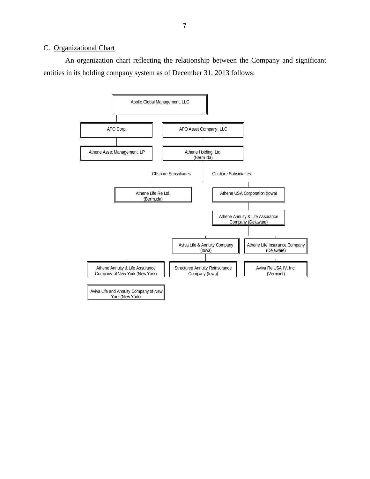#### <span id="page-9-0"></span>C. Organizational Chart

 An organization chart reflecting the relationship between the Company and significant entities in its holding company system as of December 31, 2013 follows:

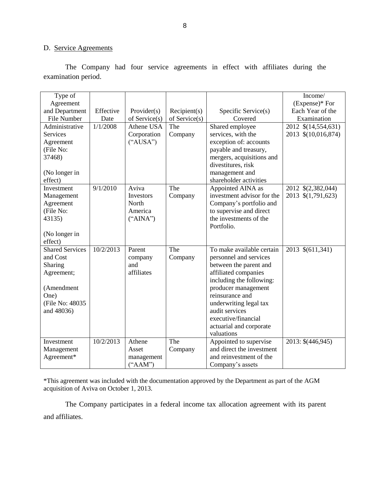## D. Service Agreements

examination period. The Company had four service agreements in effect with affiliates during the

| examination period.    |           |               |               |                                                 |                           |  |
|------------------------|-----------|---------------|---------------|-------------------------------------------------|---------------------------|--|
| Type of<br>Agreement   |           |               |               |                                                 | Income/<br>(Expense)* For |  |
| and Department         | Effective | Provider(s)   | Recipient(s)  | Specific Service(s)                             | Each Year of the          |  |
| File Number            | Date      | of Service(s) | of Service(s) | Covered                                         | Examination               |  |
| Administrative         | 1/1/2008  | Athene USA    | The           | Shared employee                                 | 2012 \$(14,554,631)       |  |
| <b>Services</b>        |           | Corporation   | Company       | services, with the                              | 2013 \$(10,016,874)       |  |
| Agreement              |           | ("AUSA")      |               | exception of: accounts                          |                           |  |
| (File No:<br>37468)    |           |               |               | payable and treasury,                           |                           |  |
|                        |           |               |               | mergers, acquisitions and<br>divestitures, risk |                           |  |
| (No longer in          |           |               |               | management and                                  |                           |  |
| effect)                |           |               |               | shareholder activities                          |                           |  |
| Investment             | 9/1/2010  | Aviva         | The           | Appointed AINA as                               | 2012 \$(2,382,044)        |  |
| Management             |           | Investors     | Company       | investment advisor for the                      | 2013 \$(1,791,623)        |  |
| Agreement              |           | North         |               | Company's portfolio and                         |                           |  |
| (File No:              |           | America       |               | to supervise and direct                         |                           |  |
| 43135)                 |           | ("AINA")      |               | the investments of the                          |                           |  |
|                        |           |               |               | Portfolio.                                      |                           |  |
| (No longer in          |           |               |               |                                                 |                           |  |
| effect)                |           |               |               |                                                 |                           |  |
| <b>Shared Services</b> | 10/2/2013 | Parent        | The           | To make available certain                       | 2013 \$(611,341)          |  |
| and Cost               |           | company       | Company       | personnel and services                          |                           |  |
| Sharing                |           | and           |               | between the parent and                          |                           |  |
| Agreement;             |           | affiliates    |               | affiliated companies                            |                           |  |
| (Amendment             |           |               |               | including the following:<br>producer management |                           |  |
| One)                   |           |               |               | reinsurance and                                 |                           |  |
| (File No: 48035        |           |               |               | underwriting legal tax                          |                           |  |
| and 48036)             |           |               |               | audit services                                  |                           |  |
|                        |           |               |               | executive/financial                             |                           |  |
|                        |           |               |               | actuarial and corporate                         |                           |  |
|                        |           |               |               | valuations                                      |                           |  |
| Investment             | 10/2/2013 | Athene        | The           | Appointed to supervise                          | 2013: \$(446,945)         |  |
| Management             |           | Asset         | Company       | and direct the investment                       |                           |  |
| Agreement*             |           | management    |               | and reinvestment of the                         |                           |  |
|                        |           | ("AAM")       |               | Company's assets                                |                           |  |

 acquisition of Aviva on October 1, 2013. The Company participates in a federal income tax allocation agreement with its parent \*This agreement was included with the documentation approved by the Department as part of the AGM

and affiliates.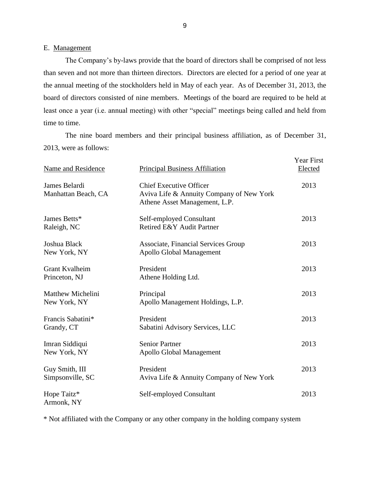#### E. Management

 The Company's by-laws provide that the board of directors shall be comprised of not less than seven and not more than thirteen directors. Directors are elected for a period of one year at the annual meeting of the stockholders held in May of each year. As of December 31, 2013, the least once a year (i.e. annual meeting) with other "special" meetings being called and held from board of directors consisted of nine members. Meetings of the board are required to be held at time to time.

 2013, were as follows: The nine board members and their principal business affiliation, as of December 31,

| Name and Residence                       | <b>Principal Business Affiliation</b>                                                                       | <b>Year First</b><br>Elected |
|------------------------------------------|-------------------------------------------------------------------------------------------------------------|------------------------------|
| James Belardi<br>Manhattan Beach, CA     | <b>Chief Executive Officer</b><br>Aviva Life & Annuity Company of New York<br>Athene Asset Management, L.P. | 2013                         |
| James Betts*<br>Raleigh, NC              | Self-employed Consultant<br>Retired E&Y Audit Partner                                                       | 2013                         |
| Joshua Black<br>New York, NY             | <b>Associate, Financial Services Group</b><br><b>Apollo Global Management</b>                               | 2013                         |
| Grant Kvalheim<br>Princeton, NJ          | President<br>Athene Holding Ltd.                                                                            | 2013                         |
| <b>Matthew Michelini</b><br>New York, NY | Principal<br>Apollo Management Holdings, L.P.                                                               | 2013                         |
| Francis Sabatini*<br>Grandy, CT          | President<br>Sabatini Advisory Services, LLC                                                                | 2013                         |
| Imran Siddiqui<br>New York, NY           | <b>Senior Partner</b><br>Apollo Global Management                                                           | 2013                         |
| Guy Smith, III<br>Simpsonville, SC       | President<br>Aviva Life & Annuity Company of New York                                                       | 2013                         |
| Hope Taitz*<br>Armonk, NY                | Self-employed Consultant                                                                                    | 2013                         |

\* Not affiliated with the Company or any other company in the holding company system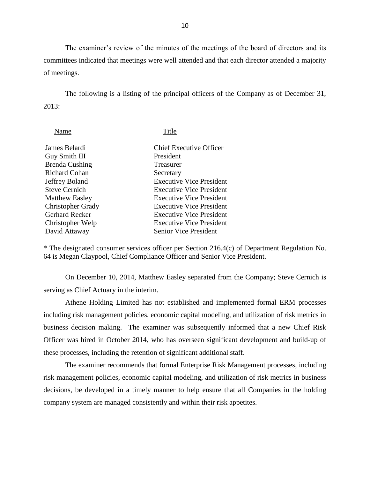The examiner's review of the minutes of the meetings of the board of directors and its committees indicated that meetings were well attended and that each director attended a majority of meetings.

The following is a listing of the principal officers of the Company as of December 31, 2013:

| Name                     | Title                           |
|--------------------------|---------------------------------|
| James Belardi            | <b>Chief Executive Officer</b>  |
| Guy Smith III            | President                       |
| <b>Brenda Cushing</b>    | Treasurer                       |
| Richard Cohan            | Secretary                       |
| Jeffrey Boland           | <b>Executive Vice President</b> |
| <b>Steve Cernich</b>     | <b>Executive Vice President</b> |
| <b>Matthew Easley</b>    | <b>Executive Vice President</b> |
| <b>Christopher Grady</b> | <b>Executive Vice President</b> |
| <b>Gerhard Recker</b>    | <b>Executive Vice President</b> |
| Christopher Welp         | <b>Executive Vice President</b> |
| David Attaway            | <b>Senior Vice President</b>    |
|                          |                                 |

 64 is Megan Claypool, Chief Compliance Officer and Senior Vice President. \* The designated consumer services officer per Section 216.4(c) of Department Regulation No.

On December 10, 2014, Matthew Easley separated from the Company; Steve Cernich is serving as Chief Actuary in the interim.

 Athene Holding Limited has not established and implemented formal ERM processes business decision making. The examiner was subsequently informed that a new Chief Risk Officer was hired in October 2014, who has overseen significant development and build-up of including risk management policies, economic capital modeling, and utilization of risk metrics in these processes, including the retention of significant additional staff.

 decisions, be developed in a timely manner to help ensure that all Companies in the holding company system are managed consistently and within their risk appetites. The examiner recommends that formal Enterprise Risk Management processes, including risk management policies, economic capital modeling, and utilization of risk metrics in business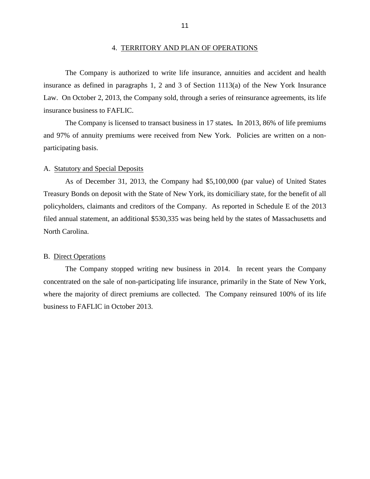insurance as defined in paragraphs 1, 2 and 3 of Section 1113(a) of the New York Insurance Law. On October 2, 2013, the Company sold, through a series of reinsurance agreements, its life The Company is authorized to write life insurance, annuities and accident and health insurance business to FAFLIC.

 and 97% of annuity premiums were received from New York. participating basis. The Company is licensed to transact business in 17 states. In 2013, 86% of life premiums The Company is licensed to transact business in 17 states. In 2013, 86% of life premiums and 97% of annuity premiums were received from New York. Policies are written on a non-<br>participating basis. Policies are written on a non-

#### A. Statutory and Special Deposits

 As of December 31, 2013, the Company had \$5,100,000 (par value) of United States Treasury Bonds on deposit with the State of New York, its domiciliary state, for the benefit of all policyholders, claimants and creditors of the Company. As reported in Schedule E of the 2013 filed annual statement, an additional \$530,335 was being held by the states of Massachusetts and North Carolina.

#### B. Direct Operations

 The Company stopped writing new business in 2014. In recent years the Company concentrated on the sale of non-participating life insurance, primarily in the State of New York, where the majority of direct premiums are collected. The Company reinsured 100% of its life business to FAFLIC in October 2013.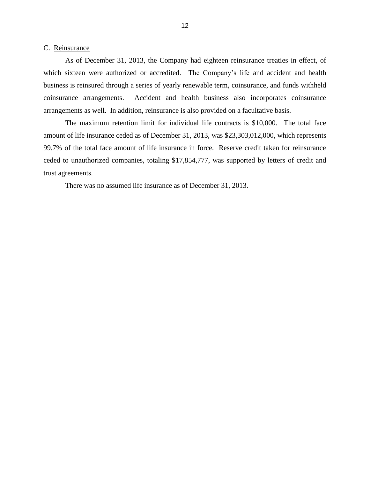#### <span id="page-14-0"></span>C. Reinsurance

 As of December 31, 2013, the Company had eighteen reinsurance treaties in effect, of which sixteen were authorized or accredited. The Company's life and accident and health business is reinsured through a series of yearly renewable term, coinsurance, and funds withheld coinsurance arrangements. Accident and health business also incorporates coinsurance arrangements as well. In addition, reinsurance is also provided on a facultative basis.

 The maximum retention limit for individual life contracts is \$10,000. The total face amount of life insurance ceded as of December 31, 2013, was \$23,303,012,000, which represents 99.7% of the total face amount of life insurance in force. Reserve credit taken for reinsurance ceded to unauthorized companies, totaling \$17,854,777, was supported by letters of credit and trust agreements.

There was no assumed life insurance as of December 31, 2013.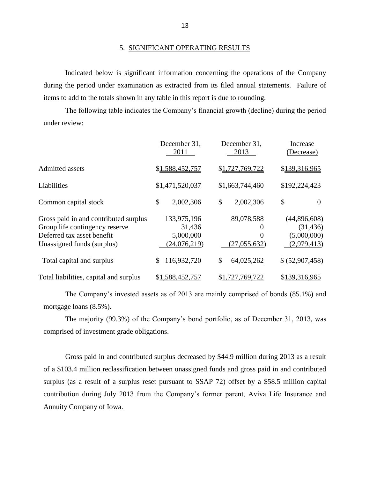#### 5. SIGNIFICANT OPERATING RESULTS

 during the period under examination as extracted from its filed annual statements. Failure of items to add to the totals shown in any table in this report is due to rounding. Indicated below is significant information concerning the operations of the Company

 The following table indicates the Company's financial growth (decline) during the period under review:

|                                                                                                                                     | December 31,<br>2011                                 | December 31,<br>2013                   | Increase<br>(Decrease)                                  |
|-------------------------------------------------------------------------------------------------------------------------------------|------------------------------------------------------|----------------------------------------|---------------------------------------------------------|
| <b>Admitted assets</b>                                                                                                              | \$1,588,452,757                                      | \$1,727,769,722                        | \$139,316,965                                           |
| Liabilities                                                                                                                         | \$1,471,520,037                                      | \$1,663,744,460                        | \$192,224,423                                           |
| Common capital stock                                                                                                                | \$<br>2,002,306                                      | \$<br>2,002,306                        | \$<br>$\overline{0}$                                    |
| Gross paid in and contributed surplus<br>Group life contingency reserve<br>Deferred tax asset benefit<br>Unassigned funds (surplus) | 133,975,196<br>31,436<br>5,000,000<br>(24, 076, 219) | 89,078,588<br>0<br>0<br>(27, 055, 632) | (44,896,608)<br>(31, 436)<br>(5,000,000)<br>(2,979,413) |
| Total capital and surplus                                                                                                           | 116,932,720                                          | 64,025,262<br>\$                       | \$ (52,907,458)                                         |
| Total liabilities, capital and surplus                                                                                              | \$1,588,452,757                                      | \$1,727,769,722                        | \$139,316,965                                           |

 The Company's invested assets as of 2013 are mainly comprised of bonds (85.1%) and mortgage loans (8.5%).

The majority (99.3%) of the Company's bond portfolio, as of December 31, 2013, was comprised of investment grade obligations.

 Gross paid in and contributed surplus decreased by \$44.9 million during 2013 as a result of a \$103.4 million reclassification between unassigned funds and gross paid in and contributed surplus (as a result of a surplus reset pursuant to SSAP 72) offset by a \$58.5 million capital contribution during July 2013 from the Company's former parent, Aviva Life Insurance and Annuity Company of Iowa.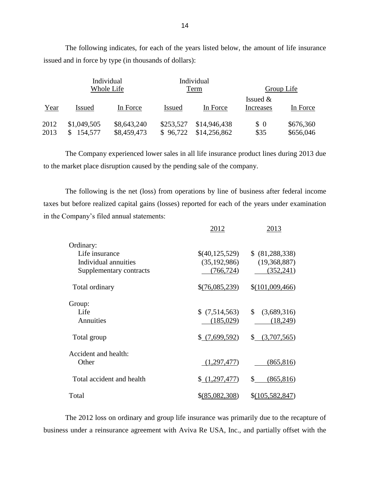|      |               | Individual  |               | Individual   |               |            |
|------|---------------|-------------|---------------|--------------|---------------|------------|
|      |               | Whole Life  |               | Term         |               | Group Life |
|      |               |             |               |              | Issued $&$    |            |
| Year | <b>Issued</b> | In Force    | <b>Issued</b> | In Force     | Increases     | In Force   |
| 2012 | \$1,049,505   | \$8,643,240 | \$253,527     | \$14,946,438 | $\frac{1}{2}$ | \$676,360  |
| 2013 | 154,577       | \$8,459,473 | \$96,722      | \$14,256,862 | \$35          | \$656,046  |

 The following indicates, for each of the years listed below, the amount of life insurance issued and in force by type (in thousands of dollars):

 The Company experienced lower sales in all life insurance product lines during 2013 due to the market place disruption caused by the pending sale of the company.

 taxes but before realized capital gains (losses) reported for each of the years under examination The following is the net (loss) from operations by line of business after federal income in the Company's filed annual statements:

|                           | 2012             | 2013                        |
|---------------------------|------------------|-----------------------------|
| Ordinary:                 |                  |                             |
| Life insurance            | \$(40,125,529)   | \$ (81, 288, 338)           |
| Individual annuities      | (35, 192, 986)   | (19,368,887)                |
| Supplementary contracts   | (766, 724)       | (352, 241)                  |
| Total ordinary            | \$(76,085,239)   | \$(101,009,466)             |
| Group:                    |                  |                             |
| Life                      | \$(7,514,563)    | $\mathbb{S}$<br>(3,689,316) |
| Annuities                 | (185,029)        | (18,249)                    |
| Total group               | \$(7,699,592)    | \$ (3,707,565)              |
| Accident and health:      |                  |                             |
| Other                     | (1,297,477)      | (865, 816)                  |
| Total accident and health | (1,297,477)      | (865, 816)<br>\$            |
| Total                     | $$$ (85,082,308) | $$$ (105,582,847)           |

 The 2012 loss on ordinary and group life insurance was primarily due to the recapture of business under a reinsurance agreement with Aviva Re USA, Inc., and partially offset with the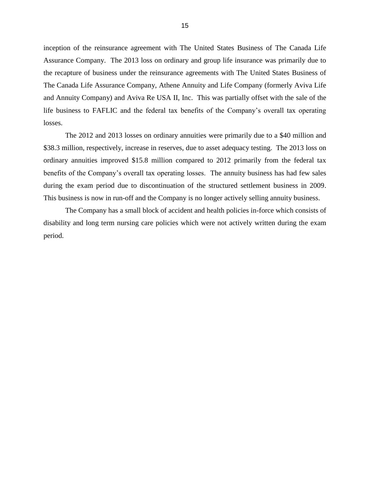inception of the reinsurance agreement with The United States Business of The Canada Life Assurance Company. The 2013 loss on ordinary and group life insurance was primarily due to the recapture of business under the reinsurance agreements with The United States Business of The Canada Life Assurance Company, Athene Annuity and Life Company (formerly Aviva Life and Annuity Company) and Aviva Re USA II, Inc. This was partially offset with the sale of the life business to FAFLIC and the federal tax benefits of the Company's overall tax operating losses.

 The 2012 and 2013 losses on ordinary annuities were primarily due to a \$40 million and \$38.3 million, respectively, increase in reserves, due to asset adequacy testing. The 2013 loss on ordinary annuities improved \$15.8 million compared to 2012 primarily from the federal tax benefits of the Company's overall tax operating losses. The annuity business has had few sales during the exam period due to discontinuation of the structured settlement business in 2009. This business is now in run-off and the Company is no longer actively selling annuity business.

 The Company has a small block of accident and health policies in-force which consists of disability and long term nursing care policies which were not actively written during the exam period.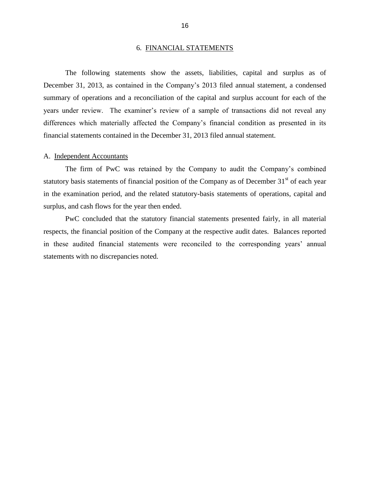#### 6. FINANCIAL STATEMENTS

<span id="page-18-0"></span> December 31, 2013, as contained in the Company's 2013 filed annual statement, a condensed summary of operations and a reconciliation of the capital and surplus account for each of the years under review. The examiner's review of a sample of transactions did not reveal any The following statements show the assets, liabilities, capital and surplus as of differences which materially affected the Company's financial condition as presented in its financial statements contained in the December 31, 2013 filed annual statement.

#### A. Independent Accountants

statutory basis statements of financial position of the Company as of December  $31<sup>st</sup>$  of each year The firm of PwC was retained by the Company to audit the Company's combined in the examination period, and the related statutory-basis statements of operations, capital and surplus, and cash flows for the year then ended.

 respects, the financial position of the Company at the respective audit dates. Balances reported in these audited financial statements were reconciled to the corresponding years' annual PwC concluded that the statutory financial statements presented fairly, in all material statements with no discrepancies noted.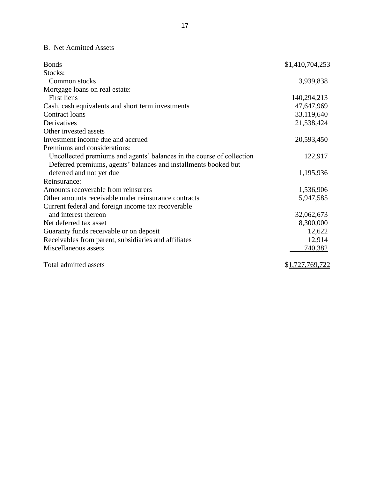# B. Net Admitted Assets

| <b>Bonds</b>                                                          | \$1,410,704,253 |
|-----------------------------------------------------------------------|-----------------|
| Stocks:                                                               |                 |
| Common stocks                                                         | 3,939,838       |
| Mortgage loans on real estate:                                        |                 |
| <b>First liens</b>                                                    | 140,294,213     |
| Cash, cash equivalents and short term investments                     | 47,647,969      |
| Contract loans                                                        | 33,119,640      |
| Derivatives                                                           | 21,538,424      |
| Other invested assets                                                 |                 |
| Investment income due and accrued                                     | 20,593,450      |
| Premiums and considerations:                                          |                 |
| Uncollected premiums and agents' balances in the course of collection | 122,917         |
| Deferred premiums, agents' balances and installments booked but       |                 |
| deferred and not yet due                                              | 1,195,936       |
| Reinsurance:                                                          |                 |
| Amounts recoverable from reinsurers                                   | 1,536,906       |
| Other amounts receivable under reinsurance contracts                  | 5,947,585       |
| Current federal and foreign income tax recoverable                    |                 |
| and interest thereon                                                  | 32,062,673      |
| Net deferred tax asset                                                | 8,300,000       |
| Guaranty funds receivable or on deposit                               | 12,622          |
| Receivables from parent, subsidiaries and affiliates                  | 12,914          |
| Miscellaneous assets                                                  | 740,382         |
| Total admitted assets                                                 | \$1,727,769,722 |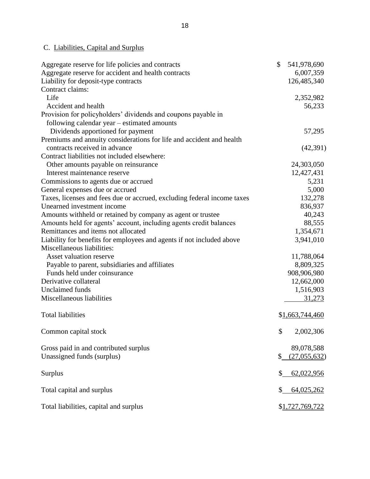# C. Liabilities, Capital and Surplus

| Aggregate reserve for life policies and contracts                       | \$<br>541,978,690  |
|-------------------------------------------------------------------------|--------------------|
| Aggregate reserve for accident and health contracts                     | 6,007,359          |
| Liability for deposit-type contracts                                    | 126,485,340        |
| Contract claims:                                                        |                    |
| Life                                                                    | 2,352,982          |
| Accident and health                                                     | 56,233             |
| Provision for policyholders' dividends and coupons payable in           |                    |
| following calendar year – estimated amounts                             |                    |
| Dividends apportioned for payment                                       | 57,295             |
| Premiums and annuity considerations for life and accident and health    |                    |
| contracts received in advance                                           | (42, 391)          |
| Contract liabilities not included elsewhere:                            |                    |
| Other amounts payable on reinsurance                                    | 24,303,050         |
| Interest maintenance reserve                                            | 12,427,431         |
| Commissions to agents due or accrued                                    | 5,231              |
| General expenses due or accrued                                         | 5,000              |
| Taxes, licenses and fees due or accrued, excluding federal income taxes | 132,278            |
| Unearned investment income                                              | 836,937            |
| Amounts withheld or retained by company as agent or trustee             | 40,243             |
| Amounts held for agents' account, including agents credit balances      | 88,555             |
| Remittances and items not allocated                                     | 1,354,671          |
| Liability for benefits for employees and agents if not included above   | 3,941,010          |
| Miscellaneous liabilities:                                              |                    |
| Asset valuation reserve                                                 | 11,788,064         |
| Payable to parent, subsidiaries and affiliates                          | 8,809,325          |
| Funds held under coinsurance                                            | 908,906,980        |
| Derivative collateral                                                   | 12,662,000         |
| <b>Unclaimed</b> funds                                                  | 1,516,903          |
| Miscellaneous liabilities                                               | 31,273             |
|                                                                         |                    |
| <b>Total liabilities</b>                                                | \$1,663,744,460    |
| Common capital stock                                                    | \$<br>2,002,306    |
| Gross paid in and contributed surplus                                   | 89,078,588         |
| Unassigned funds (surplus)                                              | \$<br>(27,055,632) |
| Surplus                                                                 | \$<br>62,022,956   |
| Total capital and surplus                                               | \$<br>64,025,262   |
| Total liabilities, capital and surplus                                  | \$1,727,769,722    |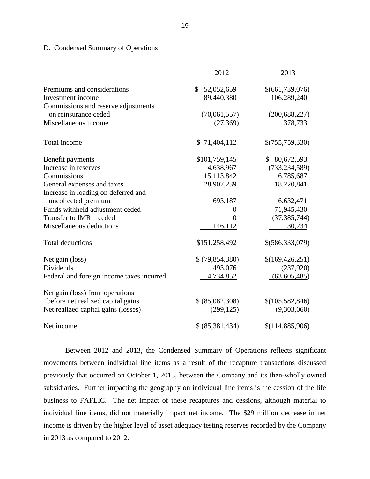# D. Condensed Summary of Operations

|                                           | 2012            | 2013              |
|-------------------------------------------|-----------------|-------------------|
| Premiums and considerations               | \$52,052,659    | \$(661,739,076)   |
| Investment income                         | 89,440,380      | 106,289,240       |
| Commissions and reserve adjustments       |                 |                   |
| on reinsurance ceded                      | (70,061,557)    | (200, 688, 227)   |
| Miscellaneous income                      | (27,369)        | 378,733           |
| Total income                              | \$71,404,112    | \$(755,759,330)   |
| Benefit payments                          | \$101,759,145   | \$80,672,593      |
| Increase in reserves                      | 4,638,967       | (733, 234, 589)   |
| Commissions                               | 15,113,842      | 6,785,687         |
| General expenses and taxes                | 28,907,239      | 18,220,841        |
| Increase in loading on deferred and       |                 |                   |
| uncollected premium                       | 693,187         | 6,632,471         |
| Funds withheld adjustment ceded           | 0               | 71,945,430        |
| Transfer to IMR - ceded                   | 0               | (37, 385, 744)    |
| Miscellaneous deductions                  | 146,112         | 30,234            |
| <b>Total deductions</b>                   | \$151,258,492   | $$$ (586,333,079) |
| Net gain (loss)                           | \$ (79,854,380) | \$(169,426,251)   |
| <b>Dividends</b>                          | 493,076         | (237,920)         |
| Federal and foreign income taxes incurred | 4,734,852       | (63,605,485)      |
| Net gain (loss) from operations           |                 |                   |
| before net realized capital gains         | \$ (85,082,308) | \$(105, 582, 846) |
| Net realized capital gains (losses)       | (299, 125)      | (9,303,060)       |
| Net income                                | \$ (85,381,434) | \$(114,885,906)   |

 Between 2012 and 2013, the Condensed Summary of Operations reflects significant movements between individual line items as a result of the recapture transactions discussed previously that occurred on October 1, 2013, between the Company and its then-wholly owned subsidiaries. Further impacting the geography on individual line items is the cession of the life business to FAFLIC. The net impact of these recaptures and cessions, although material to individual line items, did not materially impact net income. The \$29 million decrease in net income is driven by the higher level of asset adequacy testing reserves recorded by the Company in 2013 as compared to 2012.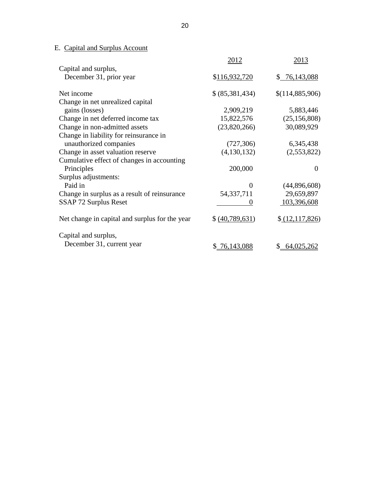# E. Capital and Surplus Account

|                                                | 2012            | 2013            |
|------------------------------------------------|-----------------|-----------------|
| Capital and surplus,                           |                 |                 |
| December 31, prior year                        | \$116,932,720   | \$76,143,088    |
| Net income                                     | \$ (85,381,434) | \$(114,885,906) |
| Change in net unrealized capital               |                 |                 |
| gains (losses)                                 | 2,909,219       | 5,883,446       |
| Change in net deferred income tax              | 15,822,576      | (25, 156, 808)  |
| Change in non-admitted assets                  | (23,820,266)    | 30,089,929      |
| Change in liability for reinsurance in         |                 |                 |
| unauthorized companies                         | (727, 306)      | 6,345,438       |
| Change in asset valuation reserve              | (4,130,132)     | (2,553,822)     |
| Cumulative effect of changes in accounting     |                 |                 |
| Principles                                     | 200,000         | 0               |
| Surplus adjustments:                           |                 |                 |
| Paid in                                        | 0               | (44,896,608)    |
| Change in surplus as a result of reinsurance   | 54, 337, 711    | 29,659,897      |
| SSAP 72 Surplus Reset                          |                 | 103,396,608     |
| Net change in capital and surplus for the year | \$ (40,789,631) | \$ (12,117,826) |
| Capital and surplus,                           |                 |                 |
| December 31, current year                      | \$76,143,088    | \$64,025,262    |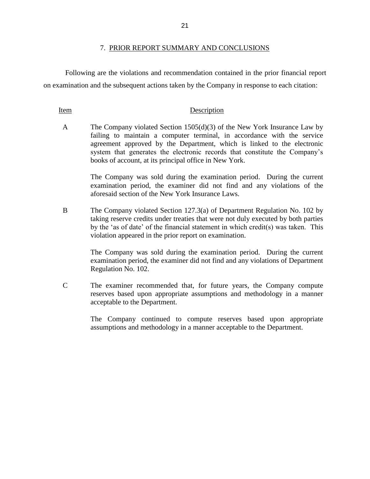#### 7. PRIOR REPORT SUMMARY AND CONCLUSIONS

 Following are the violations and recommendation contained in the prior financial report on examination and the subsequent actions taken by the Company in response to each citation:

#### Item Description

A The Company violated Section 1505(d)(3) of the New York Insurance Law by system that generates the electronic records that constitute the Company's failing to maintain a computer terminal, in accordance with the service agreement approved by the Department, which is linked to the electronic books of account, at its principal office in New York.

> The Company was sold during the examination period. During the current examination period, the examiner did not find and any violations of the aforesaid section of the New York Insurance Laws.

 B The Company violated Section 127.3(a) of Department Regulation No. 102 by taking reserve credits under treaties that were not duly executed by both parties by the 'as of date' of the financial statement in which credit(s) was taken. This violation appeared in the prior report on examination.

> The Company was sold during the examination period. During the current examination period, the examiner did not find and any violations of Department Regulation No. 102.

 C The examiner recommended that, for future years, the Company compute reserves based upon appropriate assumptions and methodology in a manner acceptable to the Department.

> The Company continued to compute reserves based upon appropriate assumptions and methodology in a manner acceptable to the Department.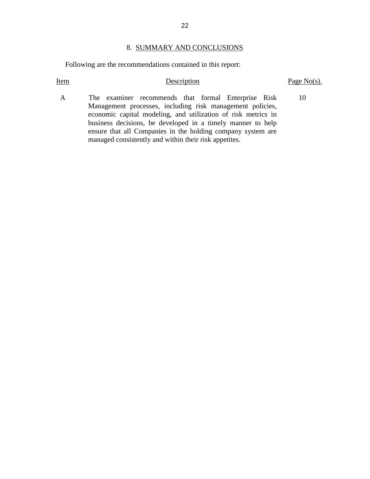## 8. SUMMARY AND CONCLUSIONS

Following are the recommendations contained in this report:

Item Description Description Page No(s).

10

 economic capital modeling, and utilization of risk metrics in business decisions, be developed in a timely manner to help ensure that all Companies in the holding company system are A The examiner recommends that formal Enterprise Risk Management processes, including risk management policies, managed consistently and within their risk appetites.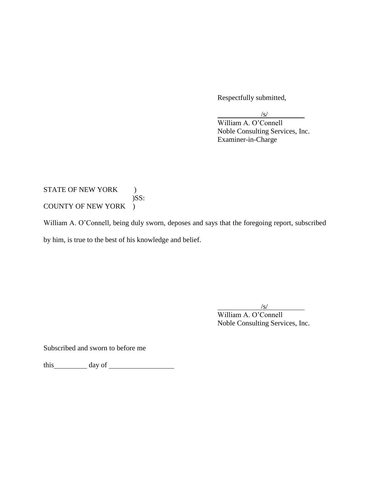Respectfully submitted,

/s/ William A. O'Connell Noble Consulting Services, Inc. Examiner-in-Charge

## COUNTY OF NEW YORK ) STATE OF NEW YORK )  $)$ SS:

COUNTY OF NEW YORK )<br>William A. O'Connell, being duly sworn, deposes and says that the foregoing report, subscribed by him, is true to the best of his knowledge and belief.

/s/

William A. O'Connell Noble Consulting Services, Inc.

Subscribed and sworn to before me

this day of